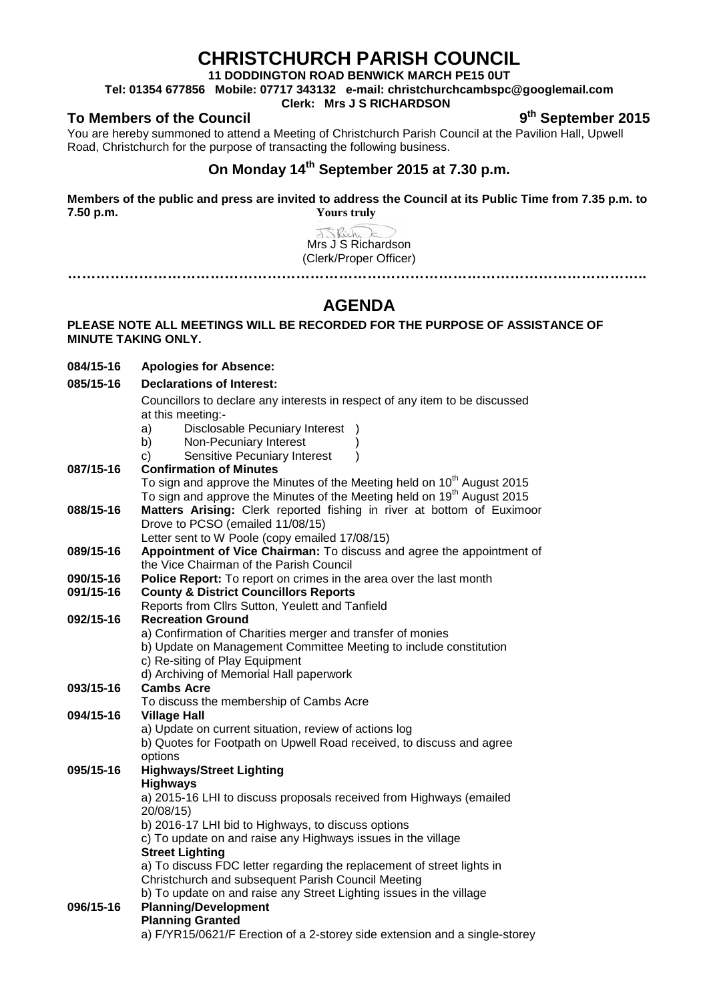# **CHRISTCHURCH PARISH COUNCIL**

**11 DODDINGTON ROAD BENWICK MARCH PE15 0UT**

**Tel: 01354 677856 Mobile: 07717 343132 e-mail: christchurchcambspc@googlemail.com**

### **Clerk: Mrs J S RICHARDSON**

### To Members of the Council **Council 19th September** 2015

You are hereby summoned to attend a Meeting of Christchurch Parish Council at the Pavilion Hall, Upwell Road, Christchurch for the purpose of transacting the following business.

## **On Monday 14th September 2015 at 7.30 p.m.**

**Members of the public and press are invited to address the Council at its Public Time from 7.35 p.m. to 7.50 p.m. Yours truly**

> J.S. Rich Mrs J S Richardson (Clerk/Proper Officer)

**…………………………………………………………………………………………………………..**

# **AGENDA**

### **PLEASE NOTE ALL MEETINGS WILL BE RECORDED FOR THE PURPOSE OF ASSISTANCE OF MINUTE TAKING ONLY.**

| 084/15-16 | <b>Apologies for Absence:</b>                                                       |  |  |  |
|-----------|-------------------------------------------------------------------------------------|--|--|--|
| 085/15-16 | <b>Declarations of Interest:</b>                                                    |  |  |  |
|           | Councillors to declare any interests in respect of any item to be discussed         |  |  |  |
|           | at this meeting:-                                                                   |  |  |  |
|           | Disclosable Pecuniary Interest<br>a)                                                |  |  |  |
|           | b)<br>Non-Pecuniary Interest                                                        |  |  |  |
|           | Sensitive Pecuniary Interest<br>C)<br>$\lambda$                                     |  |  |  |
| 087/15-16 | <b>Confirmation of Minutes</b>                                                      |  |  |  |
|           | To sign and approve the Minutes of the Meeting held on 10 <sup>th</sup> August 2015 |  |  |  |
|           | To sign and approve the Minutes of the Meeting held on 19 <sup>th</sup> August 2015 |  |  |  |
| 088/15-16 | Matters Arising: Clerk reported fishing in river at bottom of Euximoor              |  |  |  |
|           | Drove to PCSO (emailed 11/08/15)                                                    |  |  |  |
|           | Letter sent to W Poole (copy emailed 17/08/15)                                      |  |  |  |
| 089/15-16 | Appointment of Vice Chairman: To discuss and agree the appointment of               |  |  |  |
|           | the Vice Chairman of the Parish Council                                             |  |  |  |
| 090/15-16 | Police Report: To report on crimes in the area over the last month                  |  |  |  |
| 091/15-16 | <b>County &amp; District Councillors Reports</b>                                    |  |  |  |
|           | Reports from Cllrs Sutton, Yeulett and Tanfield                                     |  |  |  |
| 092/15-16 | <b>Recreation Ground</b>                                                            |  |  |  |
|           | a) Confirmation of Charities merger and transfer of monies                          |  |  |  |
|           | b) Update on Management Committee Meeting to include constitution                   |  |  |  |
|           | c) Re-siting of Play Equipment                                                      |  |  |  |
|           | d) Archiving of Memorial Hall paperwork                                             |  |  |  |
| 093/15-16 | <b>Cambs Acre</b>                                                                   |  |  |  |
|           | To discuss the membership of Cambs Acre                                             |  |  |  |
| 094/15-16 | <b>Village Hall</b>                                                                 |  |  |  |
|           | a) Update on current situation, review of actions log                               |  |  |  |
|           | b) Quotes for Footpath on Upwell Road received, to discuss and agree                |  |  |  |
|           | options                                                                             |  |  |  |
| 095/15-16 | <b>Highways/Street Lighting</b>                                                     |  |  |  |
|           | <b>Highways</b>                                                                     |  |  |  |
|           | a) 2015-16 LHI to discuss proposals received from Highways (emailed                 |  |  |  |
|           | 20/08/15)                                                                           |  |  |  |
|           | b) 2016-17 LHI bid to Highways, to discuss options                                  |  |  |  |
|           | c) To update on and raise any Highways issues in the village                        |  |  |  |
|           | <b>Street Lighting</b>                                                              |  |  |  |
|           | a) To discuss FDC letter regarding the replacement of street lights in              |  |  |  |
|           | Christchurch and subsequent Parish Council Meeting                                  |  |  |  |
|           | b) To update on and raise any Street Lighting issues in the village                 |  |  |  |
| 096/15-16 | <b>Planning/Development</b>                                                         |  |  |  |
|           | <b>Planning Granted</b>                                                             |  |  |  |
|           | a) F/YR15/0621/F Erection of a 2-storey side extension and a single-storey          |  |  |  |